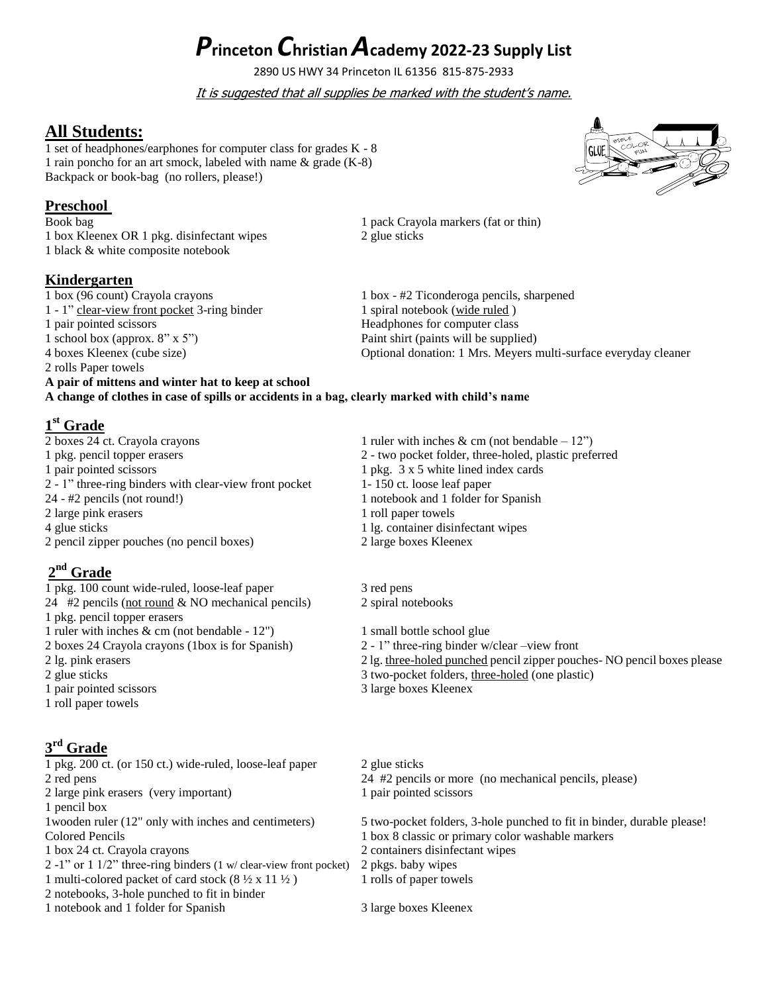# *P***rinceton** *C***hristian** *A***cademy 2022-23 Supply List**

2890 US HWY 34 Princeton IL 61356 815-875-2933

It is suggested that all supplies be marked with the student's name.

## **All Students:**

1 set of headphones/earphones for computer class for grades K - 8 1 rain poncho for an art smock, labeled with name & grade (K-8) Backpack or book-bag (no rollers, please!)

### **Preschool**

Book bag 1 pack Crayola markers (fat or thin) 1 box Kleenex OR 1 pkg. disinfectant wipes 2 glue sticks 1 black & white composite notebook

## **Kindergarten**

1 box (96 count) Crayola crayons 1 box - #2 Ticonderoga pencils, sharpened 1 - 1" clear-view front pocket 3-ring binder 1 spiral notebook (wide ruled) 1 - 1" clear-view front pocket 3-ring binder 1 pair pointed scissors Headphones for computer class 1 school box (approx. 8" x 5") Paint shirt (paints will be supplied) 2 rolls Paper towels **A pair of mittens and winter hat to keep at school**

4 boxes Kleenex (cube size) Optional donation: 1 Mrs. Meyers multi-surface everyday cleaner

**1 st Grade** 1 ruler with inches & cm (not bendable – 12") 1 pkg. pencil topper erasers 2 - two pocket folder, three-holed, plastic preferred 1 pair pointed scissors 1 pkg. 3 x 5 white lined index cards 2 - 1" three-ring binders with clear-view front pocket 1- 150 ct. loose leaf paper 24 - #2 pencils (not round!) 1 notebook and 1 folder for Spanish 2 large pink erasers 1 roll paper towels

**A change of clothes in case of spills or accidents in a bag, clearly marked with child's name**

2 pencil zipper pouches (no pencil boxes) 2 large boxes Kleenex

# **2 nd Grade**

1 pkg. 100 count wide-ruled, loose-leaf paper3 red pens 24 #2 pencils (not round & NO mechanical pencils) 2 spiral notebooks 1 pkg. pencil topper erasers 1 ruler with inches & cm (not bendable - 12") 1 small bottle school glue 2 boxes 24 Crayola crayons (1box is for Spanish) 2 - 1" three-ring binder w/clear –view front 2 glue sticks 3 two-pocket folders, three-holed (one plastic) 1 pair pointed scissors 3 large boxes Kleenex 1 roll paper towels

# **3 rd Grade**

1 pkg. 200 ct. (or 150 ct.) wide-ruled, loose-leaf paper 2 glue sticks 2 red pens 24 #2 pencils or more (no mechanical pencils, please) 2 large pink erasers (very important) 1 pair pointed scissors 1 pencil box Colored Pencils 1 box 8 classic or primary color washable markers 1 box 24 ct. Crayola crayons 2 containers disinfectant wipes 2 -1" or 1 1/2" three-ring binders (1 w/ clear-view front pocket) 2 pkgs. baby wipes 1 multi-colored packet of card stock  $(8 \frac{1}{2} \times 11 \frac{1}{2})$  1 rolls of paper towels 2 notebooks, 3-hole punched to fit in binder

1 notebook and 1 folder for Spanish 3 large boxes Kleenex

4 glue sticks 1 lg. container disinfectant wipes

2 lg. pink erasers 2 lg. three-holed punched pencil zipper pouches- NO pencil boxes please

1wooden ruler (12" only with inches and centimeters) 5 two-pocket folders, 3-hole punched to fit in binder, durable please!

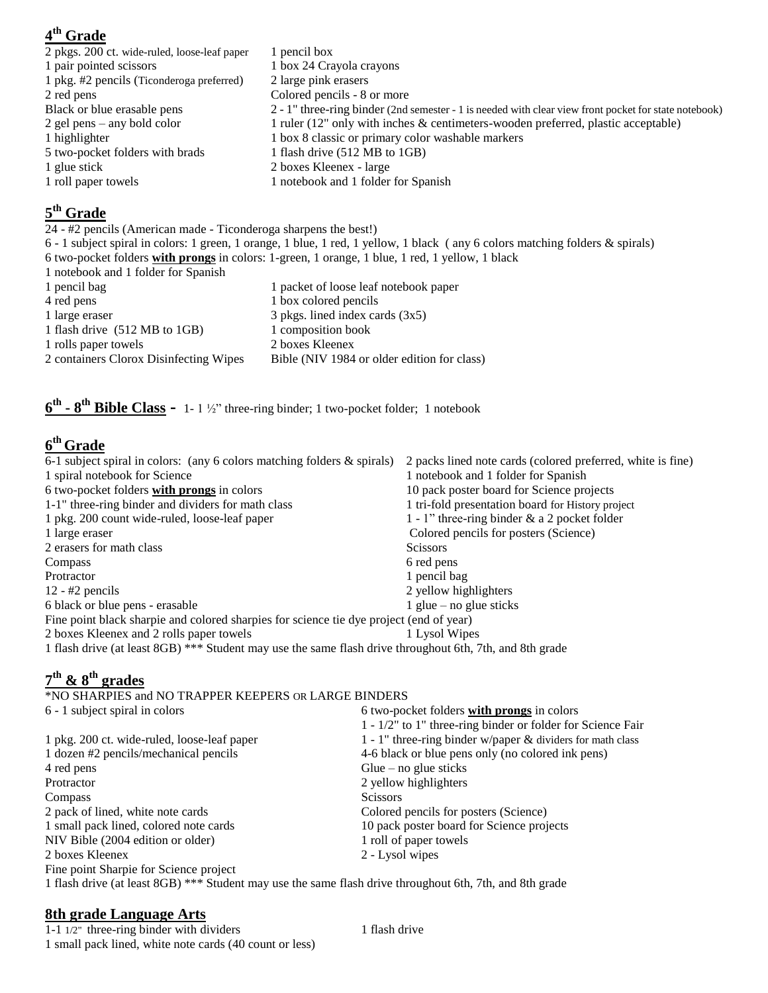# **4 th Grade**

| 2 pkgs. 200 ct. wide-ruled, loose-leaf paper | 1 pencil box                                                                                          |
|----------------------------------------------|-------------------------------------------------------------------------------------------------------|
| 1 pair pointed scissors                      | 1 box 24 Crayola crayons                                                                              |
| 1 pkg. #2 pencils (Ticonderoga preferred)    | 2 large pink erasers                                                                                  |
| 2 red pens                                   | Colored pencils - 8 or more                                                                           |
| Black or blue erasable pens                  | 2 - 1" three-ring binder (2nd semester - 1 is needed with clear view front pocket for state notebook) |
| 2 gel pens $-$ any bold color                | 1 ruler (12" only with inches & centimeters-wooden preferred, plastic acceptable)                     |
| 1 highlighter                                | 1 box 8 classic or primary color washable markers                                                     |
| 5 two-pocket folders with brads              | 1 flash drive (512 MB to 1GB)                                                                         |
| 1 glue stick                                 | 2 boxes Kleenex - large                                                                               |
| 1 roll paper towels                          | 1 notebook and 1 folder for Spanish                                                                   |
|                                              |                                                                                                       |

## **5 th Grade**

24 - #2 pencils (American made - Ticonderoga sharpens the best!)

6 - 1 subject spiral in colors: 1 green, 1 orange, 1 blue, 1 red, 1 yellow, 1 black ( any 6 colors matching folders & spirals) 6 two-pocket folders **with prongs** in colors: 1-green, 1 orange, 1 blue, 1 red, 1 yellow, 1 black

- 1 notebook and 1 folder for Spanish
- 1 pencil bag 1 packet of loose leaf notebook paper 4 red pens 1 box colored pencils 1 large eraser 3 pkgs. lined index cards (3x5) 1 flash drive (512 MB to 1GB) 1 composition book 1 rolls paper towels 2 boxes Kleenex<br>2 containers Clorox Disinfecting Wipes Bible (NIV 1984 Bible (NIV 1984 or older edition for class)

**6 th - 8 th Bible Class -** 1- 1 ½" three-ring binder; 1 two-pocket folder; 1 notebook

# **6 th Grade**

| 6-1 subject spiral in colors: (any 6 colors matching folders & spirals)                                  | 2 packs lined note cards (colored preferred, white is fine) |  |
|----------------------------------------------------------------------------------------------------------|-------------------------------------------------------------|--|
| 1 spiral notebook for Science                                                                            | 1 notebook and 1 folder for Spanish                         |  |
| 6 two-pocket folders with prongs in colors                                                               | 10 pack poster board for Science projects                   |  |
| 1-1" three-ring binder and dividers for math class                                                       | 1 tri-fold presentation board for History project           |  |
| 1 pkg. 200 count wide-ruled, loose-leaf paper                                                            | 1 - 1" three-ring binder $\&$ a 2 pocket folder             |  |
| 1 large eraser                                                                                           | Colored pencils for posters (Science)                       |  |
| 2 erasers for math class                                                                                 | <b>Scissors</b>                                             |  |
| Compass                                                                                                  | 6 red pens                                                  |  |
| Protractor                                                                                               | 1 pencil bag                                                |  |
| $12 - 42$ pencils                                                                                        | 2 yellow highlighters                                       |  |
| 6 black or blue pens - erasable                                                                          | 1 glue – no glue sticks                                     |  |
| Fine point black sharpie and colored sharpies for science tie dye project (end of year)                  |                                                             |  |
| 2 boxes Kleenex and 2 rolls paper towels                                                                 | 1 Lysol Wipes                                               |  |
| 1 flash drive (at least 8GB) *** Student may use the same flash drive throughout 6th, 7th, and 8th grade |                                                             |  |

## **7 th & 8th grades**

\*NO SHARPIES and NO TRAPPER KEEPERS OR LARGE BINDERS

| 6 two-pocket folders with prongs in colors                                                               |
|----------------------------------------------------------------------------------------------------------|
| 1 - 1/2" to 1" three-ring binder or folder for Science Fair                                              |
| 1 - 1" three-ring binder w/paper $\&$ dividers for math class                                            |
| 4-6 black or blue pens only (no colored ink pens)                                                        |
| Glue – no glue sticks                                                                                    |
| 2 yellow highlighters                                                                                    |
| <b>Scissors</b>                                                                                          |
| Colored pencils for posters (Science)                                                                    |
| 10 pack poster board for Science projects                                                                |
| 1 roll of paper towels                                                                                   |
| 2 - Lysol wipes                                                                                          |
|                                                                                                          |
| 1 flash drive (at least 8GB) *** Student may use the same flash drive throughout 6th, 7th, and 8th grade |
|                                                                                                          |

## **8th grade Language Arts**

 $1-1$   $1/2$ " three-ring binder with dividers 1 flash drive 1 small pack lined, white note cards (40 count or less)